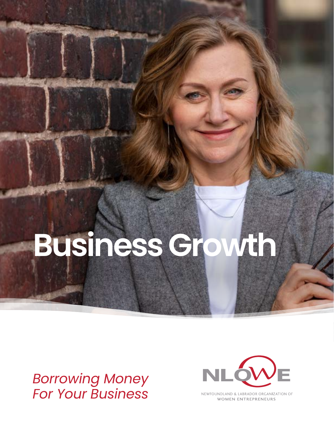# **Business Growth**

# *Borrowing Money For Your Business*



NEWFOUNDLAND & LABRADOR ORGANIZATION OF **WOMEN ENTREPRENEURS**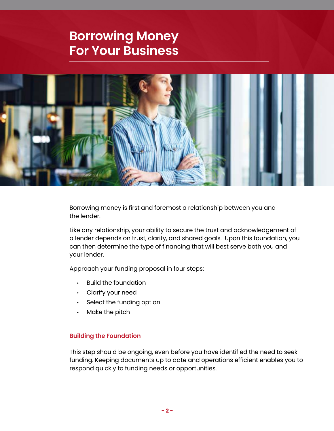# **Borrowing Money For Your Business**



Borrowing money is first and foremost a relationship between you and the lender.

Like any relationship, your ability to secure the trust and acknowledgement of a lender depends on trust, clarity, and shared goals. Upon this foundation, you can then determine the type of financing that will best serve both you and your lender.

Approach your funding proposal in four steps:

- Build the foundation
- Clarify your need
- Select the funding option
- Make the pitch

#### **Building the Foundation**

This step should be ongoing, even before you have identified the need to seek funding. Keeping documents up to date and operations efficient enables you to respond quickly to funding needs or opportunities.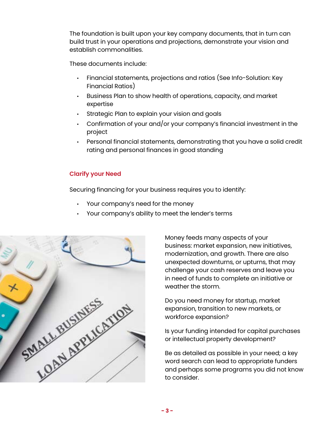The foundation is built upon your key company documents, that in turn can build trust in your operations and projections, demonstrate your vision and establish commonalities.

These documents include:

- Financial statements, projections and ratios (See Info-Solution: Key Financial Ratios)
- Business Plan to show health of operations, capacity, and market expertise
- Strategic Plan to explain your vision and goals
- Confirmation of your and/or your company's financial investment in the project
- Personal financial statements, demonstrating that you have a solid credit rating and personal finances in good standing

# **Clarify your Need**

Securing financing for your business requires you to identify:

- Your company's need for the money
- Your company's ability to meet the lender's terms



Money feeds many aspects of your business: market expansion, new initiatives, modernization, and growth. There are also unexpected downturns, or upturns, that may challenge your cash reserves and leave you in need of funds to complete an initiative or weather the storm.

Do you need money for startup, market expansion, transition to new markets, or workforce expansion?

Is your funding intended for capital purchases or intellectual property development?

Be as detailed as possible in your need; a key word search can lead to appropriate funders and perhaps some programs you did not know to consider.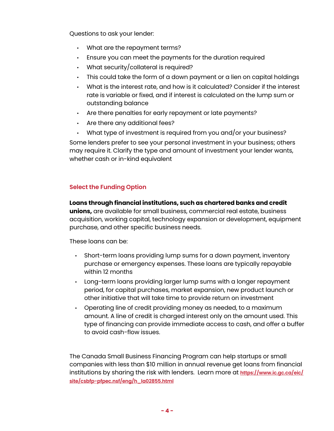Questions to ask your lender:

- What are the repayment terms?
- Ensure you can meet the payments for the duration required
- What security/collateral is required?
- This could take the form of a down payment or a lien on capital holdings
- What is the interest rate, and how is it calculated? Consider if the interest rate is variable or fixed, and if interest is calculated on the lump sum or outstanding balance
- Are there penalties for early repayment or late payments?
- Are there any additional fees?
- What type of investment is required from you and/or your business?

Some lenders prefer to see your personal investment in your business; others may require it. Clarify the type and amount of investment your lender wants, whether cash or in-kind equivalent

# **Select the Funding Option**

#### **Loans through financial institutions, such as chartered banks and credit**

**unions,** are available for small business, commercial real estate, business acquisition, working capital, technology expansion or development, equipment purchase, and other specific business needs.

These loans can be:

- Short-term loans providing lump sums for a down payment, inventory purchase or emergency expenses. These loans are typically repayable within 12 months
- Long-term loans providing larger lump sums with a longer repayment period, for capital purchases, market expansion, new product launch or other initiative that will take time to provide return on investment
- Operating line of credit providing money as needed, to a maximum amount. A line of credit is charged interest only on the amount used. This type of financing can provide immediate access to cash, and offer a buffer to avoid cash-flow issues.

The Canada Small Business Financing Program can help startups or small companies with less than \$10 million in annual revenue get loans from financial institutions by sharing the risk with lenders. Learn more at **[https://www.ic.gc.ca/eic/](https://www.ic.gc.ca/eic/site/csbfp-pfpec.nsf/eng/h_la02855.html) [site/csbfp-pfpec.nsf/eng/h\\_la02855.html](https://www.ic.gc.ca/eic/site/csbfp-pfpec.nsf/eng/h_la02855.html)**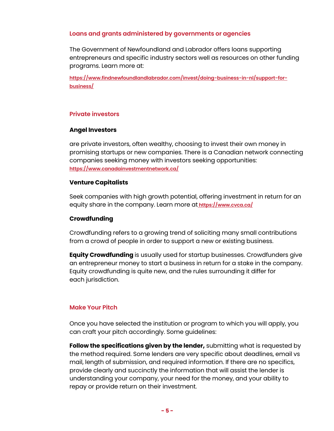#### **Loans and grants administered by governments or agencies**

The Government of Newfoundland and Labrador offers loans supporting entrepreneurs and specific industry sectors well as resources on other funding programs. Learn more at:

**[https://www.findnewfoundlandlabrador.com/invest/doing-business-in-nl/support-for](https://www.findnewfoundlandlabrador.com/invest/doing-business-in-nl/support-for-business/)[business/](https://www.findnewfoundlandlabrador.com/invest/doing-business-in-nl/support-for-business/)**

## **Private investors**

#### **Angel Investors**

are private investors, often wealthy, choosing to invest their own money in promising startups or new companies. There is a Canadian network connecting companies seeking money with investors seeking opportunities: **<https://www.canadainvestmentnetwork.ca/>**

#### **Venture Capitalists**

Seek companies with high growth potential, offering investment in return for an equity share in the company. Learn more at **[https://www.cvca.ca/]( https://www.cvca.ca/)**

### **Crowdfunding**

Crowdfunding refers to a growing trend of soliciting many small contributions from a crowd of people in order to support a new or existing business.

**Equity Crowdfunding** is usually used for startup businesses. Crowdfunders give an entrepreneur money to start a business in return for a stake in the company. Equity crowdfunding is quite new, and the rules surrounding it differ for each jurisdiction.

## **Make Your Pitch**

Once you have selected the institution or program to which you will apply, you can craft your pitch accordingly. Some guidelines:

**Follow the specifications given by the lender,** submitting what is requested by the method required. Some lenders are very specific about deadlines, email vs mail, length of submission, and required information. If there are no specifics, provide clearly and succinctly the information that will assist the lender is understanding your company, your need for the money, and your ability to repay or provide return on their investment.